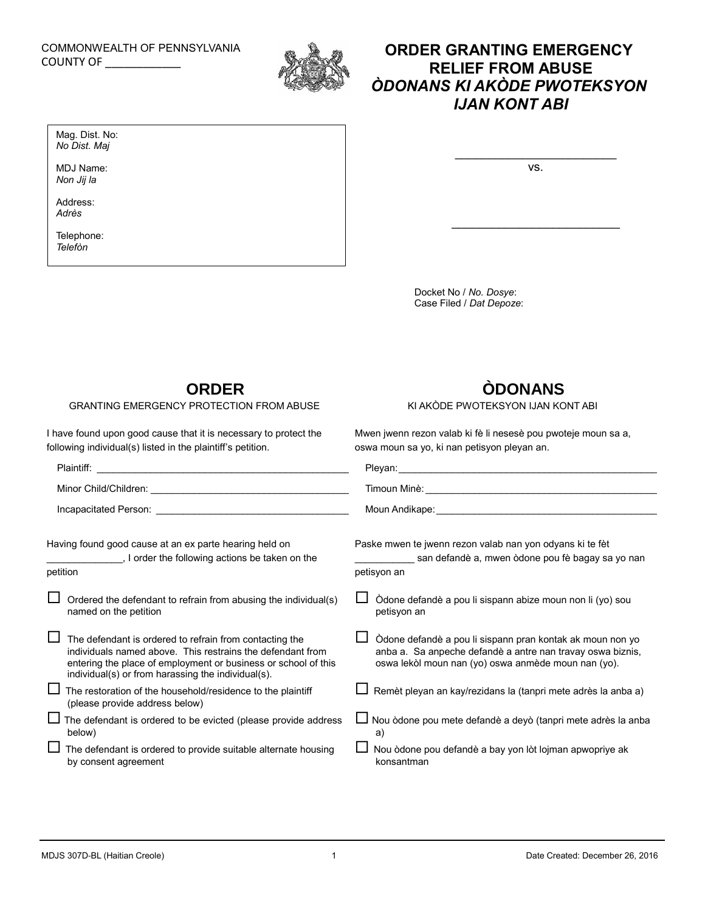### COMMONWEALTH OF PENNSYLVANIA COUNTY OF \_\_\_\_\_\_\_\_\_\_\_\_

Mag. Dist. No: *No Dist. Maj* MDJ Name: *Non Jij la* Address: *Adrès*

Telephone: *Telefòn*



# **ORDER GRANTING EMERGENCY RELIEF FROM ABUSE** *ÒDONANS KI AKÒDE PWOTEKSYON IJAN KONT ABI*

vs.

 $\mathcal{L}_\text{max}$  and  $\mathcal{L}_\text{max}$  and  $\mathcal{L}_\text{max}$  and  $\mathcal{L}_\text{max}$ 

Docket No / *No. Dosye*: Case Filed / *Dat Depoze*:

### **ORDER**

### GRANTING EMERGENCY PROTECTION FROM ABUSE

I have found upon good cause that it is necessary to protect the following individual(s) listed in the plaintiff's petition.

# **ÒDONANS**

KI AKÒDE PWOTEKSYON IJAN KONT ABI

Mwen jwenn rezon valab ki fè li nesesè pou pwoteje moun sa a, oswa moun sa yo, ki nan petisyon pleyan an.

| Having found good cause at an ex parte hearing held on<br>, I order the following actions be taken on the<br>petition                                                                                                                         | Paske mwen te jwenn rezon valab nan yon odyans ki te fèt<br>san defandè a, mwen òdone pou fè bagay sa yo nan<br>petisyon an                                                    |
|-----------------------------------------------------------------------------------------------------------------------------------------------------------------------------------------------------------------------------------------------|--------------------------------------------------------------------------------------------------------------------------------------------------------------------------------|
| $\Box$ Ordered the defendant to refrain from abusing the individual(s)<br>named on the petition                                                                                                                                               | Òdone defandè a pou li sispann abize moun non li (yo) sou<br>petisyon an                                                                                                       |
| The defendant is ordered to refrain from contacting the<br>individuals named above. This restrains the defendant from<br>entering the place of employment or business or school of this<br>individual(s) or from harassing the individual(s). | Òdone defandè a pou li sispann pran kontak ak moun non yo<br>anba a. Sa anpeche defandè a antre nan travay oswa biznis,<br>oswa lekòl moun nan (yo) oswa anmède moun nan (yo). |
| $\Box$ The restoration of the household/residence to the plaintiff<br>(please provide address below)                                                                                                                                          | Remèt pleyan an kay/rezidans la (tanpri mete adrès la anba a)                                                                                                                  |
| $\Box$ The defendant is ordered to be evicted (please provide address<br>below)                                                                                                                                                               | ∐ Nou òdone pou mete defandè a deyò (tanpri mete adrès la anba<br>a)                                                                                                           |
| $\Box$ The defendant is ordered to provide suitable alternate housing<br>by consent agreement                                                                                                                                                 | Nou òdone pou defandè a bay yon lòt lojman apwopriye ak<br>konsantman                                                                                                          |